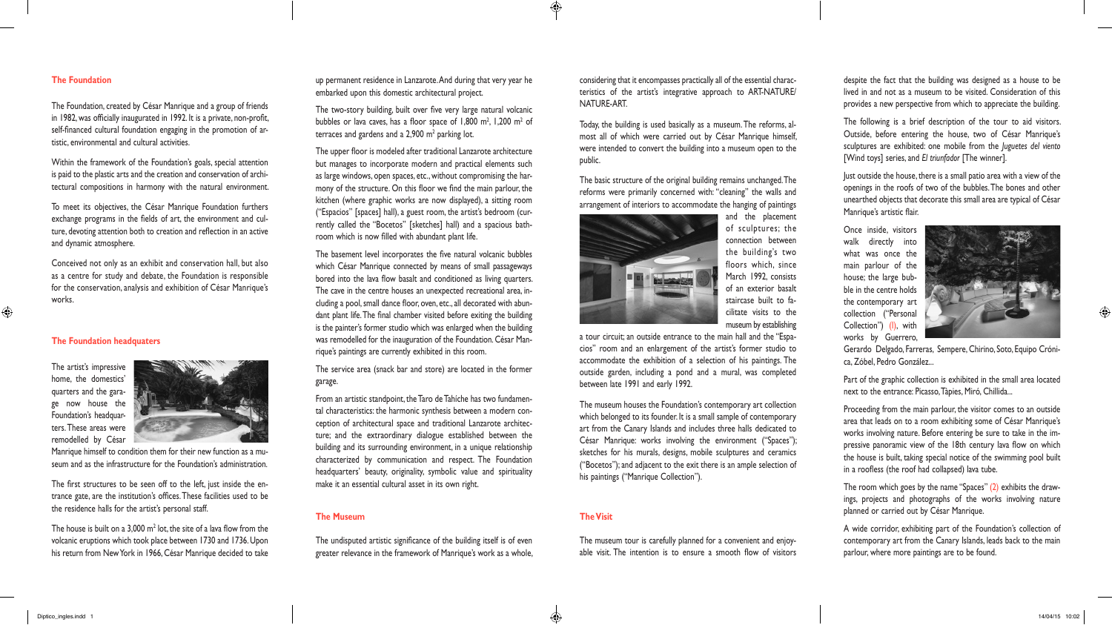## **The Foundation**

The Foundation, created by César Manrique and a group of friends in 1982, was officially inaugurated in 1992. It is a private, non-profit, self-financed cultural foundation engaging in the promotion of artistic, environmental and cultural activities.

Within the framework of the Foundation's goals, special attention is paid to the plastic arts and the creation and conservation of architectural compositions in harmony with the natural environment.

To meet its objectives, the César Manrique Foundation furthers exchange programs in the fields of art, the environment and culture, devoting attention both to creation and reflection in an active and dynamic atmosphere.

Conceived not only as an exhibit and conservation hall, but also as a centre for study and debate, the Foundation is responsible for the conservation, analysis and exhibition of César Manrique's works.

The house is built on a 3,000  $m<sup>2</sup>$  lot, the site of a lava flow from the volcanic eruptions which took place between 1730 and 1736. Upon his return from New York in 1966, César Manrique decided to take The two-story building, built over five very large natural volcanic bubbles or lava caves, has a floor space of  $1,800$  m<sup>2</sup>,  $1,200$  m<sup>2</sup> of terraces and gardens and a  $2,900$  m<sup>2</sup> parking lot.

# **The Foundation headquaters**

The artist's impressive home, the domestics' quarters and the garage now house the Foundation's headquarters. These areas were remodelled by César

 $\bigoplus$ 



The first structures to be seen off to the left, just inside the entrance gate, are the institution's offices. These facilities used to be the residence halls for the artist's personal staff.

up permanent residence in Lanzarote. And during that very year he embarked upon this domestic architectural project.

The upper floor is modeled after traditional Lanzarote architecture but manages to incorporate modern and practical elements such as large windows, open spaces, etc., without compromising the harmony of the structure. On this floor we find the main parlour, the kitchen (where graphic works are now displayed), a sitting room ("Espacios" [spaces] hall), a guest room, the artist's bedroom (currently called the "Bocetos" [sketches] hall) and a spacious bathroom which is now filled with abundant plant life.

The basement level incorporates the five natural volcanic bubbles which César Manrique connected by means of small passageways bored into the lava flow basalt and conditioned as living quarters. The cave in the centre houses an unexpected recreational area, including a pool, small dance floor, oven, etc., all decorated with abundant plant life. The final chamber visited before exiting the building is the painter's former studio which was enlarged when the building was remodelled for the inauguration of the Foundation. César Manrique's paintings are currently exhibited in this room.

The service area (snack bar and store) are located in the former garage.

From an artistic standpoint, the Taro de Tahíche has two fundamental characteristics: the harmonic synthesis between a modern conception of architectural space and traditional Lanzarote architecture; and the extraordinary dialogue established between the building and its surrounding environment, in a unique relationship characterized by communication and respect. The Foundation headquarters' beauty, originality, symbolic value and spirituality make it an essential cultural asset in its own right.

The room which goes by the name "Spaces" (2) exhibits the drawings, projects and photographs of the works involving nature planned or carried out by César Manrique.

# **The Museum**

The undisputed artistic significance of the building itself is of even greater relevance in the framework of Manrique's work as a whole, considering that it encompasses practically all of the essential characteristics of the artist's integrative approach to ART-NATURE/ NATURE-ART.

Today, the building is used basically as a museum. The reforms, almost all of which were carried out by César Manrique himself, were intended to convert the building into a museum open to the public.

The basic structure of the original building remains unchanged. The reforms were primarily concerned with: "cleaning" the walls and arrangement of interiors to accommodate the hanging of paintings



of sculptures; the

connection between the building's two floors which, since March 1992, consists of an exterior basalt staircase built to facilitate visits to the museum by establishing

a tour circuit; an outside entrance to the main hall and the "Espacios" room and an enlargement of the artist's former studio to accommodate the exhibition of a selection of his paintings. The outside garden, including a pond and a mural, was completed between late 1991 and early 1992.

The museum houses the Foundation's contemporary art collection which belonged to its founder. It is a small sample of contemporary art from the Canary Islands and includes three halls dedicated to César Manrique: works involving the environment ("Spaces"); sketches for his murals, designs, mobile sculptures and ceramics ("Bocetos"); and adjacent to the exit there is an ample selection of his paintings ("Manrique Collection").

# **The Visit**

 $\bigoplus$ 

The museum tour is carefully planned for a convenient and enjoyable visit. The intention is to ensure a smooth flow of visitors

despite the fact that the building was designed as a house to be lived in and not as a museum to be visited. Consideration of this provides a new perspective from which to appreciate the building.

The following is a brief description of the tour to aid visitors. Outside, before entering the house, two of César Manrique's sculptures are exhibited: one mobile from the *Juguetes del viento* [Wind toys] series, and *El triunfador* [The winner].

Just outside the house, there is a small patio area with a view of the openings in the roofs of two of the bubbles. The bones and other unearthed objects that decorate this small area are typical of César Manrique's artistic flair.

Once inside, visitors walk directly into what was once the main parlour of the house; the large bubble in the centre holds the contemporary art collection ("Personal Collection") (I), with works by Guerrero,



Gerardo Delgado, Farreras, Sempere, Chirino, Soto, Equipo Crónica, Zóbel, Pedro González...

Part of the graphic collection is exhibited in the small area located next to the entrance: Picasso, Tàpies, Miró, Chillida...

Proceeding from the main parlour, the visitor comes to an outside area that leads on to a room exhibiting some of César Manrique's works involving nature. Before entering be sure to take in the impressive panoramic view of the 18th century lava flow on which the house is built, taking special notice of the swimming pool built in a roofless (the roof had collapsed) lava tube.

A wide corridor, exhibiting part of the Foundation's collection of contemporary art from the Canary Islands, leads back to the main parlour, where more paintings are to be found.

 $\bigcirc$